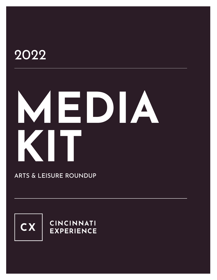# 2022

# **MEDIA KITT**

ARTS & LEISURE ROUNDUP



**CINCINNATI EXPERIENCE**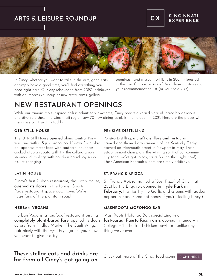## ARTS & LEISURE ROUNDUP



## **CINCINNATI EXPERIENCE**



In Cincy, whether you want to take in the arts, good eats, or simply have a good time, you'll find everything you need right here. Our city rebounded from 2020 lockdowns with an impressive lineup of new restaurants, gallery

openings, and museum exhibits in 2021. Interested in the true Cincy experience? Add these must-sees to your recommendation list (or your next visit).

## NEW RESTAURANT OPENINGS

While our famous mole-inspired chili is admittedly awesome, Cincy boasts a varied slate of incredibly delicious and diverse dishes. The Cincinnati region saw 70 new dining establishments open in 2021. Here are the places with menus we can't wait to tackle:

#### **OTR STILL HOUSE**

The OTR Still House **[opened](https://otrstillhouse.com/)** along Central Parkway, and with it Sqr – pronounced "skewer" – a play on Japanese street food with southern influences, cooked atop a robata grill. Try the collard green steamed dumplings with bourbon barrel soy sauce; it's life-changing.

Cincyi's first Cuban restaurant, the Latin House, [opened its doors](https://latin-house.com/) in the former Sports Page restaurant space downtown. We're huge fans of the plaintain soup!

#### **HERBAN VEGANS**

Herban Vegans, a "seafood" restaurant serving [completely plant-based fare,](https://herbanvegans.com/) opened its doors across from Findlay Market. The Cauli Wingz pair nicely with the Fysh Fry - go on, you know you want to give it a try!

#### **PENSIVE DISTILLING**

Pensive Distilling, [a craft distillery and restaurant](https://www.pensivedistilling.com/)  named and themed after winners of the Kentucky Derby, opened on Monmouth Street in Newport in May. Their establishment champions the winning spirit of our community (and, we've got to say, we're feeling that right now!) Their American Pharaoh sliders are simply addictive.

#### **LATIN HOUSE ST. FRANCIS APIZZA**

St. Francis Apizza, named a "Best Pizza" of Cincinnati 2021 by the Enquirer, opened in Hyde Park in [February](https://www.saintfrancisapizza.com/)**.** Pro tip: Try the Garlic and Greens with added pepperoni (and some hot honey if you're feeling fancy.)

#### **MASHROOTS MOFONGO BAR**

MashRoots Mofongo Bar, specializing in a [fast-casual Puerto Rican dish](https://www.mashroots.com/), opened in January in College Hill. The fried chicken bowls are unlike anything we've ever seen!

## These stellar eats and drinks are far from all Cincy's got going on.

Check out more of the Cincy food scene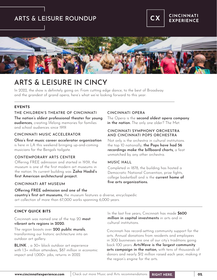## ARTS & LEISURE ROUNDUP



## ARTS & LEISURE IN CINCY

In 2022, the show is definitely going on. From cutting edge dance, to the best of Broadway and the grandest of grand opera, here's what we're looking forward to this year:

#### **EVENTS**

#### The nation's oldest professional theater for young audiences, creating lifelong memories for families and school audiences since 1919. THE CHILDREN'S THEATRE OF CINCINNATI CINCINNATI OPERA

#### CINCINNATI MUSIC ACCELERATOR

Ohio's first music career accelerator organization is here in LA this weekend bringing up-and-coming musicians for the Bengals tailgate.

#### CONTEMPORARY ARTS CENTER

Offering FREE admission and started in 1939, the museum is one of the first modern art museums in the nation. Its current building was Zaha Hadid's first American architectural project.

#### CINCINNATI ART MUSEUM

#### Offering FREE admission and one of the

The Opera is the **second oldest opera company** in the nation. The only one older? The Met.

#### CINCINNATI SYMPHONY ORCHESTRA AND CINCINNATI POPS ORCHESTRA

Not only is the orchestra in cultural institutions. the top 10 nationally, the Pops have had 56 recordings make the billboard charts, a feat unmatched by any other orchestra.

#### MUSIC HALL

Completed in 1878, the building has hosted a Democratic National Convention, prize fights, college basketball and is the current home of five arts organizations.

country's first art museums, the museum features a diverse, encyclopedic art collection of more than 67,000 works spanning 6,000 years.

#### **CINCY QUICK BITS**

#### Cincinnati was named one of the top 20 most vibrant arts regions in 2020.

The region boasts over 200 public murals, transforming our historic architecture into an outdoor art gallery.

BLINK, a 30+ block outdoor art experience with 1.3+ million attendees, \$87 million in economic impact and 1,000+ jobs, returns in 2022.

In the last five years, Cincinnati has made \$600 million in capital investments in arts and in cultural institutions.

Cincinnati has record-setting community support for the arts. Annual donations from residents and employees in 300 businesses are one of our city's traditions going back 100 years. ArtsWave is the largest community arts campaign in the nation, with tens of thousands of donors and nearly \$12 million raised each year, making it the region's engine for the arts.